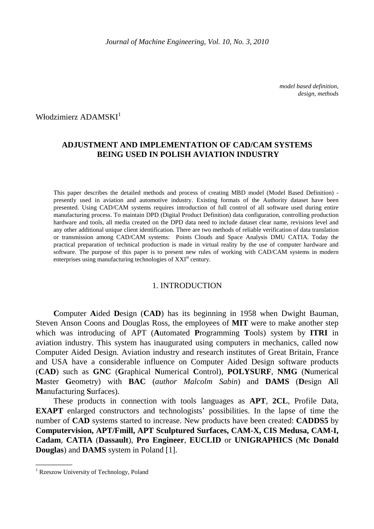*model based definition, design, methods* 

Włodzimierz ADAMSKI<sup>1</sup>

## **ADJUSTMENT AND IMPLEMENTATION OF CAD/CAM SYSTEMS BEING USED IN POLISH AVIATION INDUSTRY**

This paper describes the detailed methods and process of creating MBD model (Model Based Definition) presently used in aviation and automotive industry. Existing formats of the Authority dataset have been presented. Using CAD/CAM systems requires introduction of full control of all software used during entire manufacturing process. To maintain DPD (Digital Product Definition) data configuration, controlling production hardware and tools, all media created on the DPD data need to include dataset clear name, revisions level and any other additional unique client identification. There are two methods of reliable verification of data translation or transmission among CAD/CAM systems: Points Clouds and Space Analysis DMU CATIA. Today the practical preparation of technical production is made in virtual reality by the use of computer hardware and software. The purpose of this paper is to present new rules of working with CAD/CAM systems in modern enterprises using manufacturing technologies of XXI<sup>st</sup> century.

#### 1. INTRODUCTION

**C**omputer **A**ided **D**esign (**CAD**) has its beginning in 1958 when Dwight Bauman, Steven Anson Coons and Douglas Ross, the employees of **MIT** were to make another step which was introducing of APT (**A**utomated **P**rogramming **T**ools) system by **ITRI** in aviation industry. This system has inaugurated using computers in mechanics, called now Computer Aided Design. Aviation industry and research institutes of Great Britain, France and USA have a considerable influence on Computer Aided Design software products (**CAD**) such as **GNC** (**G**raphical **N**umerical **C**ontrol), **POLYSURF**, **NMG** (**N**umerical **M**aster **G**eometry) with **BAC** (*author Malcolm Sabin*) and **DAMS** (**D**esign **A**ll **M**anufacturing **S**urfaces).

These products in connection with tools languages as **APT**, **2CL**, Profile Data, **EXAPT** enlarged constructors and technologists' possibilities. In the lapse of time the number of **CAD** systems started to increase. New products have been created: **CADDS5** by **Computervision, APT/Fmill, APT Sculptured Surfaces, CAM-X, CIS Medusa, CAM-I, Cadam**, **CATIA** (**Dassault**), **Pro Engineer**, **EUCLID** or **UNIGRAPHICS** (**Mc Donald Douglas**) and **DAMS** system in Poland [1].

 $\overline{\phantom{a}}$   $\overline{\phantom{a}}$ 

<sup>&</sup>lt;sup>1</sup> Rzeszow University of Technology, Poland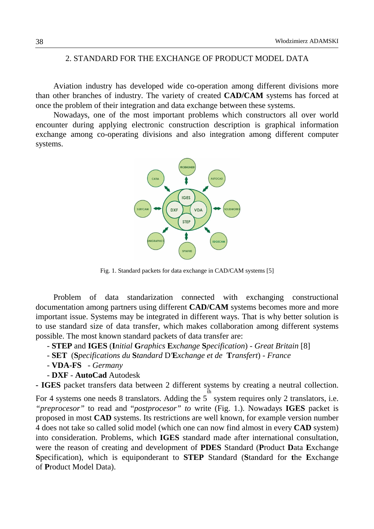## 2. STANDARD FOR THE EXCHANGE OF PRODUCT MODEL DATA

Aviation industry has developed wide co-operation among different divisions more than other branches of industry. The variety of created **CAD/CAM** systems has forced at once the problem of their integration and data exchange between these systems.

Nowadays, one of the most important problems which constructors all over world encounter during applying electronic construction description is graphical information exchange among co-operating divisions and also integration among different computer systems.



Fig. 1. Standard packets for data exchange in CAD/CAM systems [5]

Problem of data standarization connected with exchanging constructional documentation among partners using different **CAD/CAM** systems becomes more and more important issue. Systems may be integrated in different ways. That is why better solution is to use standard size of data transfer, which makes collaboration among different systems possible. The most known standard packets of data transfer are:

- **STEP** and **IGES** (**I***nitial* **G***raphics* **E***xchange* **S***pecification*) - *Great Britain* [8]

- **SET** (**S***pecifications du* **S***tandard* D*'***E***xchange et de* **T***ransfert*) *France*
- **VDA-FS**  *Germany*
- **DXF** **AutoCad** Autodesk

**- IGES** packet transfers data between 2 different systems by creating a neutral collection.

For 4 systems one needs 8 translators. Adding the 5 th system requires only 2 translators, i.e. *"preprocesor"* to read and "*postprocesor" to* write (Fig. 1.). Nowadays **IGES** packet is proposed in most **CAD** systems. Its restrictions are well known, for example version number 4 does not take so called solid model (which one can now find almost in every **CAD** system) into consideration. Problems, which **IGES** standard made after international consultation, were the reason of creating and development of **PDES** Standard (**P**roduct **D**ata **E**xchange **S**pecification), which is equiponderant to **STEP** Standard (**S**tandard for **t**he **E**xchange of **P**roduct Model Data).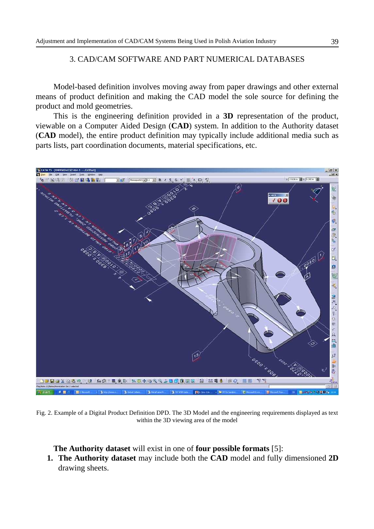#### 3. CAD/CAM SOFTWARE AND PART NUMERICAL DATABASES

Model-based definition involves moving away from paper drawings and other external means of product definition and making the CAD model the sole source for defining the product and mold geometries.

This is the engineering definition provided in a **3D** representation of the product, viewable on a Computer Aided Design (**CAD**) system. In addition to the Authority dataset (**CAD** model), the entire product definition may typically include additional media such as parts lists, part coordination documents, material specifications, etc.



Fig. 2. Example of a Digital Product Definition DPD. The 3D Model and the engineering requirements displayed as text within the 3D viewing area of the model

**The Authority dataset** will exist in one of **four possible formats** [5]:

**1. The Authority dataset** may include both the **CAD** model and fully dimensioned **2D** drawing sheets.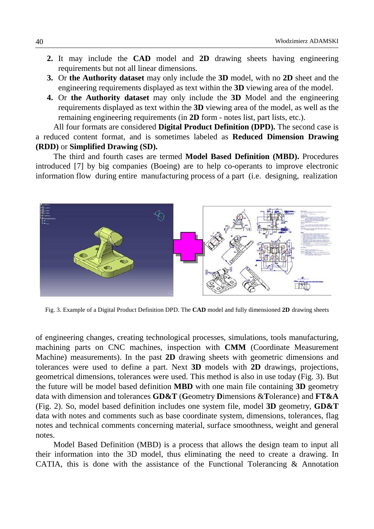- **2.** It may include the **CAD** model and **2D** drawing sheets having engineering requirements but not all linear dimensions.
- **3.** Or **the Authority dataset** may only include the **3D** model, with no **2D** sheet and the engineering requirements displayed as text within the **3D** viewing area of the model.
- **4.** Or **the Authority dataset** may only include the **3D** Model and the engineering requirements displayed as text within the **3D** viewing area of the model, as well as the remaining engineering requirements (in **2D** form - notes list, part lists, etc.).

All four formats are considered **Digital Product Definition (DPD).** The second case is a reduced content format, and is sometimes labeled as **Reduced Dimension Drawing (RDD)** or **Simplified Drawing (SD).**

The third and fourth cases are termed **Model Based Definition (MBD).** Procedures introduced [7] by big companies (Boeing) are to help co-operants to improve electronic information flow during entire manufacturing process of a part (i.e. designing, realization



Fig. 3. Example of a Digital Product Definition DPD. The **CAD** model and fully dimensioned **2D** drawing sheets

of engineering changes, creating technological processes, simulations, tools manufacturing, machining parts on CNC machines, inspection with **CMM** (Coordinate Measurement Machine) measurements). In the past **2D** drawing sheets with geometric dimensions and tolerances were used to define a part. Next **3D** models with **2D** drawings, projections, geometrical dimensions, tolerances were used. This method is also in use today (Fig. 3). But the future will be model based definition **MBD** with one main file containing **3D** geometry data with dimension and tolerances **GD&T** (**G**eometry **D**imensions &**T**olerance) and **FT&A** (Fig. 2). So, model based definition includes one system file, model **3D** geometry, **GD&T** data with notes and comments such as base coordinate system, dimensions, tolerances, flag notes and technical comments concerning material, surface smoothness, weight and general notes.

Model Based Definition (MBD) is a process that allows the design team to input all their information into the 3D model, thus eliminating the need to create a drawing. In CATIA, this is done with the assistance of the Functional Tolerancing  $\&$  Annotation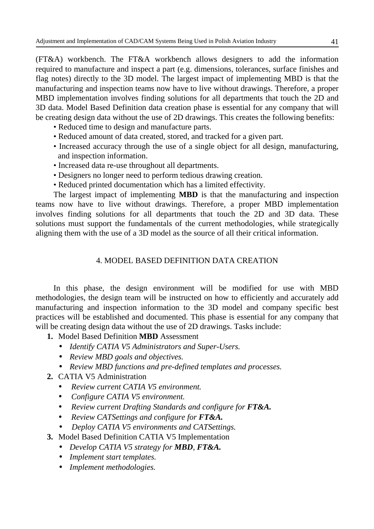(FT&A) workbench. The FT&A workbench allows designers to add the information required to manufacture and inspect a part (e.g. dimensions, tolerances, surface finishes and flag notes) directly to the 3D model. The largest impact of implementing MBD is that the manufacturing and inspection teams now have to live without drawings. Therefore, a proper MBD implementation involves finding solutions for all departments that touch the 2D and 3D data. Model Based Definition data creation phase is essential for any company that will be creating design data without the use of 2D drawings. This creates the following benefits:

- Reduced time to design and manufacture parts.
- Reduced amount of data created, stored, and tracked for a given part.
- Increased accuracy through the use of a single object for all design, manufacturing, and inspection information.
- Increased data re-use throughout all departments.
- Designers no longer need to perform tedious drawing creation.
- Reduced printed documentation which has a limited effectivity.

The largest impact of implementing **MBD** is that the manufacturing and inspection teams now have to live without drawings. Therefore, a proper MBD implementation involves finding solutions for all departments that touch the 2D and 3D data. These solutions must support the fundamentals of the current methodologies, while strategically aligning them with the use of a 3D model as the source of all their critical information.

## 4. MODEL BASED DEFINITION DATA CREATION

In this phase, the design environment will be modified for use with MBD methodologies, the design team will be instructed on how to efficiently and accurately add manufacturing and inspection information to the 3D model and company specific best practices will be established and documented. This phase is essential for any company that will be creating design data without the use of 2D drawings. Tasks include:

- **1.** Model Based Definition **MBD** Assessment
	- *Identify CATIA V5 Administrators and Super-Users.*
	- *Review MBD goals and objectives.*
	- *Review MBD functions and pre-defined templates and processes.*
- **2.** CATIA V5 Administration
	- *Review current CATIA V5 environment.*
	- *Configure CATIA V5 environment.*
	- *Review current Drafting Standards and configure for FT&A.*
	- *Review CATSettings and configure for FT&A.*
	- • *Deploy CATIA V5 environments and CATSettings.*
- **3.** Model Based Definition CATIA V5 Implementation
	- *Develop CATIA V5 strategy for MBD, FT&A.*
	- *Implement start templates.*
	- *Implement methodologies.*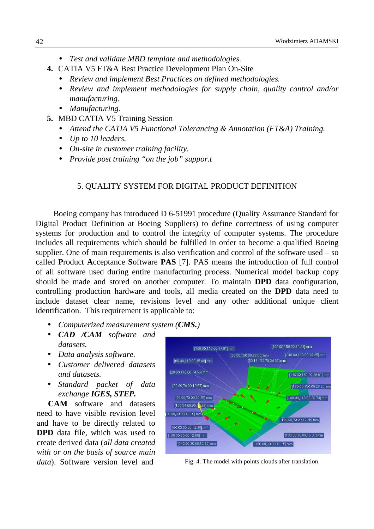- *Test and validate MBD template and methodologies.*
- **4.** CATIA V5 FT&A Best Practice Development Plan On-Site
	- *Review and implement Best Practices on defined methodologies.*
	- *Review and implement methodologies for supply chain, quality control and/or manufacturing.*
	- *Manufacturing.*
- **5.** MBD CATIA V5 Training Session
	- *Attend the CATIA V5 Functional Tolerancing & Annotation (FT&A) Training.*
	- *Up to 10 leaders.*
	- *On-site in customer training facility.*
	- *Provide post training "on the job" suppor.t*

#### 5. QUALITY SYSTEM FOR DIGITAL PRODUCT DEFINITION

Boeing company has introduced D 6-51991 procedure (Quality Assurance Standard for Digital Product Definition at Boeing Suppliers) to define correctness of using computer systems for production and to control the integrity of computer systems. The procedure includes all requirements which should be fulfilled in order to become a qualified Boeing supplier. One of main requirements is also verification and control of the software used – so called **P**roduct **A**cceptance **S**oftware **PAS** [7]. PAS means the introduction of full control of all software used during entire manufacturing process. Numerical model backup copy should be made and stored on another computer. To maintain **DPD** data configuration, controlling production hardware and tools, all media created on the **DPD** data need to include dataset clear name, revisions level and any other additional unique client identification. This requirement is applicable to:

- *Computerized measurement system (CMS.)*
- *CAD /CAM software and datasets.*
- *Data analysis software.*
- *Customer delivered datasets and datasets.*
- *Standard packet of data exchange IGES, STEP.*

**CAM** software and datasets need to have visible revision level and have to be directly related to **DPD** data file, which was used to create derived data (*all data created with or on the basis of source main data*). Software version level and Fig. 4. The model with points clouds after translation

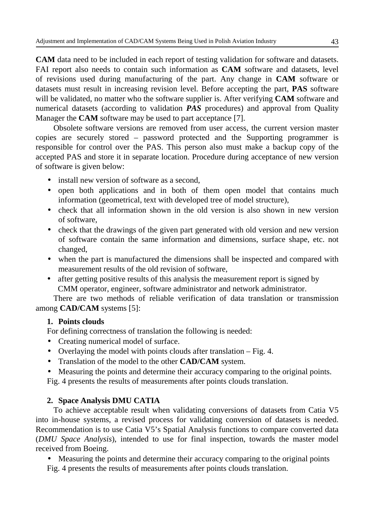**CAM** data need to be included in each report of testing validation for software and datasets. FAI report also needs to contain such information as **CAM** software and datasets, level of revisions used during manufacturing of the part. Any change in **CAM** software or datasets must result in increasing revision level. Before accepting the part, **PAS** software will be validated, no matter who the software supplier is. After verifying **CAM** software and numerical datasets (according to validation *PAS* procedures) and approval from Quality Manager the **CAM** software may be used to part acceptance [7].

Obsolete software versions are removed from user access, the current version master copies are securely stored – password protected and the Supporting programmer is responsible for control over the PAS. This person also must make a backup copy of the accepted PAS and store it in separate location. Procedure during acceptance of new version of software is given below:

- install new version of software as a second,
- open both applications and in both of them open model that contains much information (geometrical, text with developed tree of model structure),
- check that all information shown in the old version is also shown in new version of software,
- check that the drawings of the given part generated with old version and new version of software contain the same information and dimensions, surface shape, etc. not changed,
- when the part is manufactured the dimensions shall be inspected and compared with measurement results of the old revision of software,
- after getting positive results of this analysis the measurement report is signed by CMM operator, engineer, software administrator and network administrator.

There are two methods of reliable verification of data translation or transmission among **CAD/CAM** systems [5]:

### **1. Points clouds**

For defining correctness of translation the following is needed:

- Creating numerical model of surface.
- Overlaying the model with points clouds after translation Fig. 4.
- Translation of the model to the other **CAD/CAM** system.
- Measuring the points and determine their accuracy comparing to the original points.

Fig. 4 presents the results of measurements after points clouds translation.

# **2. Space Analysis DMU CATIA**

To achieve acceptable result when validating conversions of datasets from Catia V5 into in-house systems, a revised process for validating conversion of datasets is needed. Recommendation is to use Catia V5's Spatial Analysis functions to compare converted data (*DMU Space Analysis*), intended to use for final inspection, towards the master model received from Boeing.

• Measuring the points and determine their accuracy comparing to the original points Fig. 4 presents the results of measurements after points clouds translation.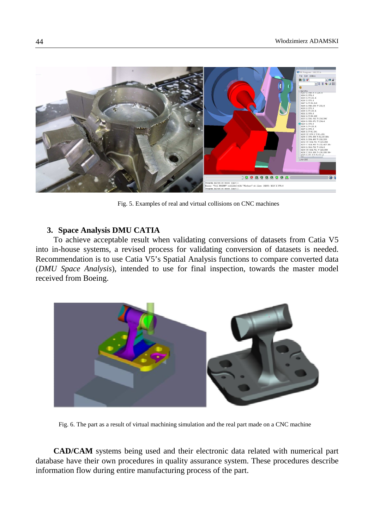

Fig. 5. Examples of real and virtual collisions on CNC machines

#### **3. Space Analysis DMU CATIA**

To achieve acceptable result when validating conversions of datasets from Catia V5 into in-house systems, a revised process for validating conversion of datasets is needed. Recommendation is to use Catia V5's Spatial Analysis functions to compare converted data (*DMU Space Analysis*), intended to use for final inspection, towards the master model received from Boeing.



Fig. 6. The part as a result of virtual machining simulation and the real part made on a CNC machine

**CAD/CAM** systems being used and their electronic data related with numerical part database have their own procedures in quality assurance system. These procedures describe information flow during entire manufacturing process of the part.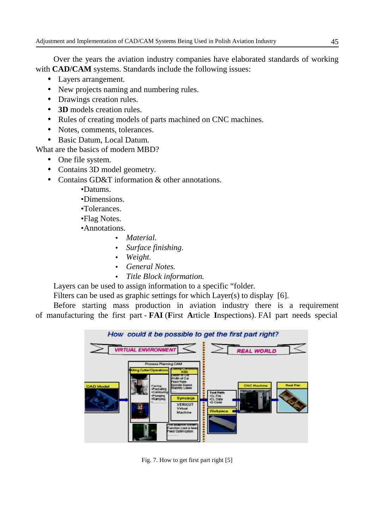Over the years the aviation industry companies have elaborated standards of working with **CAD/CAM** systems. Standards include the following issues:

- Layers arrangement.
- New projects naming and numbering rules.
- Drawings creation rules.
- **3D** models creation rules.
- Rules of creating models of parts machined on CNC machines.
- Notes, comments, tolerances.
- Basic Datum, Local Datum.

What are the basics of modern MBD?

- One file system.
- Contains 3D model geometry.
- Contains GD&T information & other annotations.
	- •Datums.
	- •Dimensions.
	- •Tolerances.
	- •Flag Notes.
	- •Annotations.
		- *Material.*
		- *Surface finishing.*
		- *Weight.*
		- *General Notes.*
		- *Title Block information.*

Layers can be used to assign information to a specific "folder*.*

Filters can be used as graphic settings for which Layer(s) to display[6].

Before starting mass production in aviation industry there is a requirement of manufacturing the first part - **FAI** (**F**irst **A**rticle **I**nspections). FAI part needs special



Fig. 7. How to get first part right [5]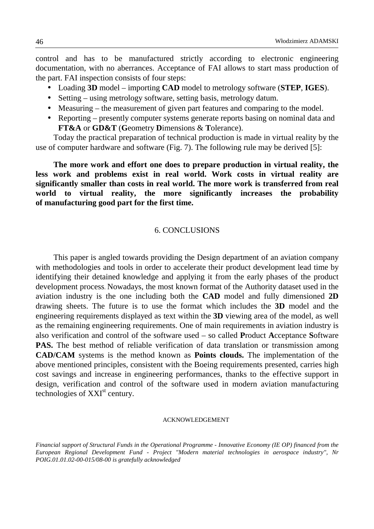control and has to be manufactured strictly according to electronic engineering documentation, with no aberrances. Acceptance of FAI allows to start mass production of the part. FAI inspection consists of four steps:

- Loading **3D** model importing **CAD** model to metrology software (**STEP**, **IGES**).
- Setting using metrology software, setting basis, metrology datum.
- Measuring the measurement of given part features and comparing to the model.
- Reporting presently computer systems generate reports basing on nominal data and **FT&A** or **GD&T** (**G**eometry **D**imensions & **T**olerance).

Today the practical preparation of technical production is made in virtual reality by the use of computer hardware and software (Fig. 7). The following rule may be derived [5]:

**The more work and effort one does to prepare production in virtual reality, the less work and problems exist in real world. Work costs in virtual reality are significantly smaller than costs in real world. The more work is transferred from real world to virtual reality, the more significantly increases the probability of manufacturing good part for the first time.** 

#### 6. CONCLUSIONS

This paper is angled towards providing the Design department of an aviation company with methodologies and tools in order to accelerate their product development lead time by identifying their detained knowledge and applying it from the early phases of the product development process. Nowadays, the most known format of the Authority dataset used in the aviation industry is the one including both the **CAD** model and fully dimensioned **2D** drawing sheets. The future is to use the format which includes the **3D** model and the engineering requirements displayed as text within the **3D** viewing area of the model, as well as the remaining engineering requirements. One of main requirements in aviation industry is also verification and control of the software used – so called **P**roduct **A**cceptance **S**oftware **PAS.** The best method of reliable verification of data translation or transmission among **CAD/CAM** systems is the method known as **Points clouds.** The implementation of the above mentioned principles, consistent with the Boeing requirements presented, carries high cost savings and increase in engineering performances, thanks to the effective support in design, verification and control of the software used in modern aviation manufacturing technologies of  $XXI<sup>st</sup>$  century.

#### ACKNOWLEDGEMENT

*Financial support of Structural Funds in the Operational Programme - Innovative Economy (IE OP) financed from the European Regional Development Fund - Project "Modern material technologies in aerospace industry", Nr POIG.01.01.02-00-015/08-00 is gratefully acknowledged*